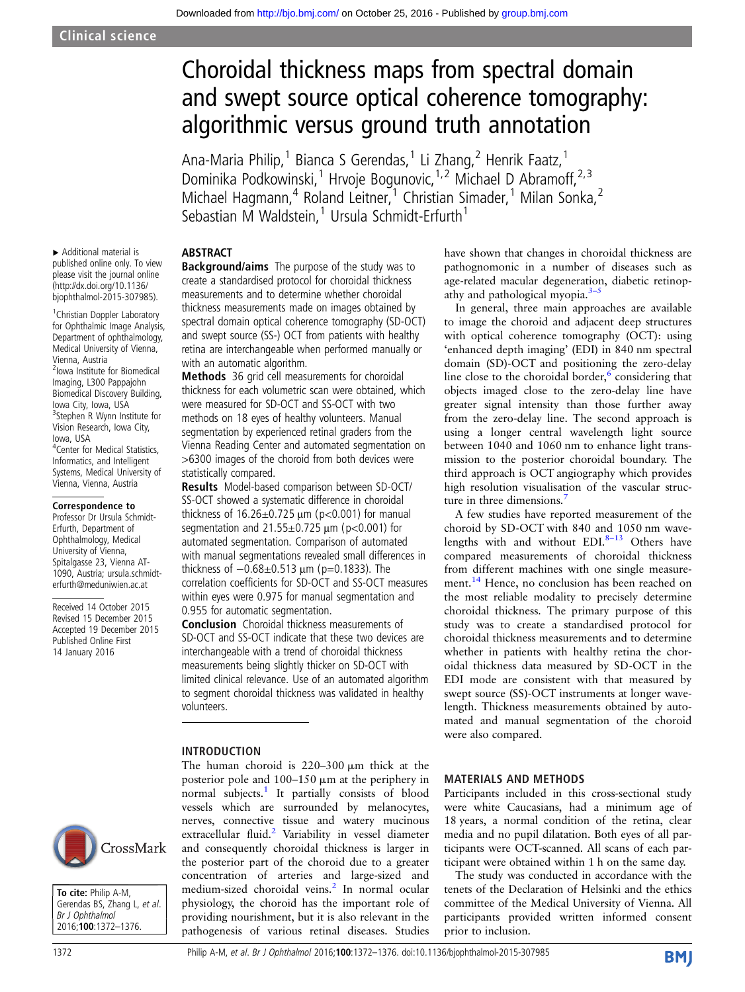# Choroidal thickness maps from spectral domain and swept source optical coherence tomography: algorithmic versus ground truth annotation

Ana-Maria Philip,<sup>1</sup> Bianca S Gerendas,<sup>1</sup> Li Zhang,<sup>2</sup> Henrik Faatz,<sup>1</sup> Dominika Podkowinski,<sup>1</sup> Hrvoje Bogunovic,<sup>1,2</sup> Michael D Abramoff,<sup>2,3</sup> Michael Hagmann,<sup>4</sup> Roland Leitner,<sup>1</sup> Christian Simader,<sup>1</sup> Milan Sonka,<sup>2</sup> Sebastian M Waldstein,<sup>1</sup> Ursula Schmidt-Erfurth<sup>1</sup>

### **ABSTRACT**

▸ Additional material is published online only. To view please visit the journal online [\(http://dx.doi.org/10.1136/](http://dx.doi.org/10.1136/bjophthalmol-2015-307985) [bjophthalmol-2015-307985\)](http://dx.doi.org/10.1136/bjophthalmol-2015-307985).

<sup>1</sup> Christian Doppler Laboratory for Ophthalmic Image Analysis, Department of ophthalmology, Medical University of Vienna, Vienna, Austria 2 Iowa Institute for Biomedical Imaging, L300 Pappajohn Biomedical Discovery Building, Iowa City, Iowa, USA <sup>3</sup>Stephen R Wynn Institute for Vision Research, Iowa City, Iowa, USA 4 Center for Medical Statistics, Informatics, and Intelligent Systems, Medical University of Vienna, Vienna, Austria

#### Correspondence to

Professor Dr Ursula Schmidt-Erfurth, Department of Ophthalmology, Medical University of Vienna, Spitalgasse 23, Vienna AT-1090, Austria; ursula.schmidterfurth@meduniwien.ac.at

Received 14 October 2015 Revised 15 December 2015 Accepted 19 December 2015 Published Online First 14 January 2016

Background/aims The purpose of the study was to create a standardised protocol for choroidal thickness measurements and to determine whether choroidal thickness measurements made on images obtained by spectral domain optical coherence tomography (SD-OCT) and swept source (SS-) OCT from patients with healthy retina are interchangeable when performed manually or with an automatic algorithm.

**Methods** 36 grid cell measurements for choroidal thickness for each volumetric scan were obtained, which were measured for SD-OCT and SS-OCT with two methods on 18 eyes of healthy volunteers. Manual segmentation by experienced retinal graders from the Vienna Reading Center and automated segmentation on >6300 images of the choroid from both devices were statistically compared.

Results Model-based comparison between SD-OCT/ SS-OCT showed a systematic difference in choroidal thickness of  $16.26 \pm 0.725 \,\mu m$  (p<0.001) for manual segmentation and  $21.55\pm0.725$   $\mu$ m (p<0.001) for automated segmentation. Comparison of automated with manual segmentations revealed small differences in thickness of −0.68±0.513 μm (p=0.1833). The correlation coefficients for SD-OCT and SS-OCT measures within eyes were 0.975 for manual segmentation and 0.955 for automatic segmentation.

Conclusion Choroidal thickness measurements of SD-OCT and SS-OCT indicate that these two devices are interchangeable with a trend of choroidal thickness measurements being slightly thicker on SD-OCT with limited clinical relevance. Use of an automated algorithm to segment choroidal thickness was validated in healthy volunteers.

The human choroid is  $220-300 \mu m$  thick at the posterior pole and  $100-150 \mu m$  at the periphery in normal subjects.<sup>[1](#page-4-0)</sup> It partially consists of blood

physiology, the choroid has the important role of providing nourishment, but it is also relevant in the pathogenesis of various retinal diseases. Studies

#### INTRODUCTION

vessels which are surrounded by melanocytes, nerves, connective tissue and watery mucinous extracellular fluid.<sup>2</sup> Variability in vessel diameter CrossMark and consequently choroidal thickness is larger in the posterior part of the choroid due to a greater concentration of arteries and large-sized and medium-sized choroidal veins.<sup>[2](#page-4-0)</sup> In normal ocular





In general, three main approaches are available to image the choroid and adjacent deep structures with optical coherence tomography (OCT): using 'enhanced depth imaging' (EDI) in 840 nm spectral domain (SD)-OCT and positioning the zero-delay line close to the choroidal border, $6$  considering that objects imaged close to the zero-delay line have greater signal intensity than those further away from the zero-delay line. The second approach is using a longer central wavelength light source between 1040 and 1060 nm to enhance light transmission to the posterior choroidal boundary. The third approach is OCT angiography which provides high resolution visualisation of the vascular struc-ture in three dimensions.<sup>[7](#page-4-0)</sup>

A few studies have reported measurement of the choroid by SD-OCT with 840 and 1050 nm wavelengths with and without  $EDI.<sup>8-13</sup>$  $EDI.<sup>8-13</sup>$  $EDI.<sup>8-13</sup>$  Others have compared measurements of choroidal thickness from different machines with one single measure-ment.<sup>[14](#page-4-0)</sup> Hence, no conclusion has been reached on the most reliable modality to precisely determine choroidal thickness. The primary purpose of this study was to create a standardised protocol for choroidal thickness measurements and to determine whether in patients with healthy retina the choroidal thickness data measured by SD-OCT in the EDI mode are consistent with that measured by swept source (SS)-OCT instruments at longer wavelength. Thickness measurements obtained by automated and manual segmentation of the choroid were also compared.

#### MATERIALS AND METHODS

Participants included in this cross-sectional study were white Caucasians, had a minimum age of 18 years, a normal condition of the retina, clear media and no pupil dilatation. Both eyes of all participants were OCT-scanned. All scans of each participant were obtained within 1 h on the same day.

The study was conducted in accordance with the tenets of the Declaration of Helsinki and the ethics committee of the Medical University of Vienna. All participants provided written informed consent prior to inclusion.

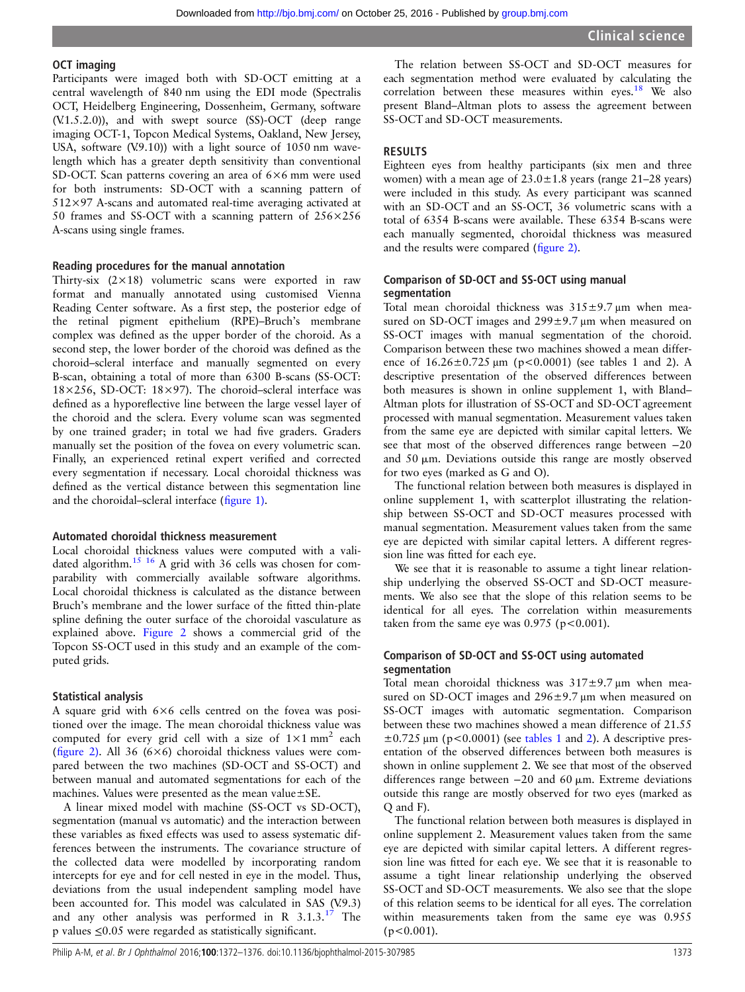#### OCT imaging

Participants were imaged both with SD-OCT emitting at a central wavelength of 840 nm using the EDI mode (Spectralis OCT, Heidelberg Engineering, Dossenheim, Germany, software (V.1.5.2.0)), and with swept source (SS)-OCT (deep range imaging OCT-1, Topcon Medical Systems, Oakland, New Jersey, USA, software (V.9.10)) with a light source of 1050 nm wavelength which has a greater depth sensitivity than conventional SD-OCT. Scan patterns covering an area of 6×6 mm were used for both instruments: SD-OCT with a scanning pattern of 512×97 A-scans and automated real-time averaging activated at 50 frames and SS-OCT with a scanning pattern of 256×256 A-scans using single frames.

#### Reading procedures for the manual annotation

Thirty-six  $(2\times18)$  volumetric scans were exported in raw format and manually annotated using customised Vienna Reading Center software. As a first step, the posterior edge of the retinal pigment epithelium (RPE)–Bruch's membrane complex was defined as the upper border of the choroid. As a second step, the lower border of the choroid was defined as the choroid–scleral interface and manually segmented on every B-scan, obtaining a total of more than 6300 B-scans (SS-OCT: 18×256, SD-OCT: 18×97). The choroid–scleral interface was defined as a hyporeflective line between the large vessel layer of the choroid and the sclera. Every volume scan was segmented by one trained grader; in total we had five graders. Graders manually set the position of the fovea on every volumetric scan. Finally, an experienced retinal expert verified and corrected every segmentation if necessary. Local choroidal thickness was defined as the vertical distance between this segmentation line and the choroidal–scleral interface (fi[gure 1\).](#page-2-0)

#### Automated choroidal thickness measurement

Local choroidal thickness values were computed with a vali-dated algorithm.<sup>[15 16](#page-4-0)</sup> A grid with 36 cells was chosen for comparability with commercially available software algorithms. Local choroidal thickness is calculated as the distance between Bruch's membrane and the lower surface of the fitted thin-plate spline defining the outer surface of the choroidal vasculature as explained above. [Figure 2](#page-2-0) shows a commercial grid of the Topcon SS-OCT used in this study and an example of the computed grids.

#### Statistical analysis

A square grid with 6×6 cells centred on the fovea was positioned over the image. The mean choroidal thickness value was computed for every grid cell with a size of  $1 \times 1$  mm<sup>2</sup> each (fi[gure 2\)](#page-2-0). All 36 (6×6) choroidal thickness values were compared between the two machines (SD-OCT and SS-OCT) and between manual and automated segmentations for each of the machines. Values were presented as the mean value±SE.

A linear mixed model with machine (SS-OCT vs SD-OCT), segmentation (manual vs automatic) and the interaction between these variables as fixed effects was used to assess systematic differences between the instruments. The covariance structure of the collected data were modelled by incorporating random intercepts for eye and for cell nested in eye in the model. Thus, deviations from the usual independent sampling model have been accounted for. This model was calculated in SAS (V.9.3) and any other analysis was performed in R  $3.1.3^{17}$  $3.1.3^{17}$  $3.1.3^{17}$  The p values ≤0.05 were regarded as statistically significant.

The relation between SS-OCT and SD-OCT measures for each segmentation method were evaluated by calculating the correlation between these measures within eyes.<sup>[18](#page-4-0)</sup> We also present Bland–Altman plots to assess the agreement between SS-OCT and SD-OCT measurements.

#### RESULTS

Eighteen eyes from healthy participants (six men and three women) with a mean age of  $23.0 \pm 1.8$  years (range 21–28 years) were included in this study. As every participant was scanned with an SD-OCT and an SS-OCT, 36 volumetric scans with a total of 6354 B-scans were available. These 6354 B-scans were each manually segmented, choroidal thickness was measured and the results were compared (fi[gure 2\).](#page-2-0)

#### Comparison of SD-OCT and SS-OCT using manual segmentation

Total mean choroidal thickness was 315±9.7 μm when measured on SD-OCT images and 299±9.7 μm when measured on SS-OCT images with manual segmentation of the choroid. Comparison between these two machines showed a mean difference of  $16.26 \pm 0.725 \mu m$  (p<0.0001) (see tables 1 and 2). A descriptive presentation of the observed differences between both measures is shown in online supplement 1, with Bland– Altman plots for illustration of SS-OCT and SD-OCT agreement processed with manual segmentation. Measurement values taken from the same eye are depicted with similar capital letters. We see that most of the observed differences range between −20 and  $50 \mu m$ . Deviations outside this range are mostly observed for two eyes (marked as G and O).

The functional relation between both measures is displayed in online supplement 1, with scatterplot illustrating the relationship between SS-OCT and SD-OCT measures processed with manual segmentation. Measurement values taken from the same eye are depicted with similar capital letters. A different regression line was fitted for each eye.

We see that it is reasonable to assume a tight linear relationship underlying the observed SS-OCT and SD-OCT measurements. We also see that the slope of this relation seems to be identical for all eyes. The correlation within measurements taken from the same eye was  $0.975$  (p<0.001).

# Comparison of SD-OCT and SS-OCT using automated segmentation

Total mean choroidal thickness was  $317\pm9.7$   $\mu$ m when measured on SD-OCT images and 296±9.7 μm when measured on SS-OCT images with automatic segmentation. Comparison between these two machines showed a mean difference of 21.55  $\pm 0.725$  $\pm 0.725$  $\pm 0.725$  μm (p<0.0001) (see [tables 1](#page-3-0) and 2). A descriptive presentation of the observed differences between both measures is shown in online supplement 2. We see that most of the observed differences range between  $-20$  and 60  $\mu$ m. Extreme deviations outside this range are mostly observed for two eyes (marked as Q and F).

The functional relation between both measures is displayed in online supplement 2. Measurement values taken from the same eye are depicted with similar capital letters. A different regression line was fitted for each eye. We see that it is reasonable to assume a tight linear relationship underlying the observed SS-OCT and SD-OCT measurements. We also see that the slope of this relation seems to be identical for all eyes. The correlation within measurements taken from the same eye was 0.955  $(p<0.001)$ .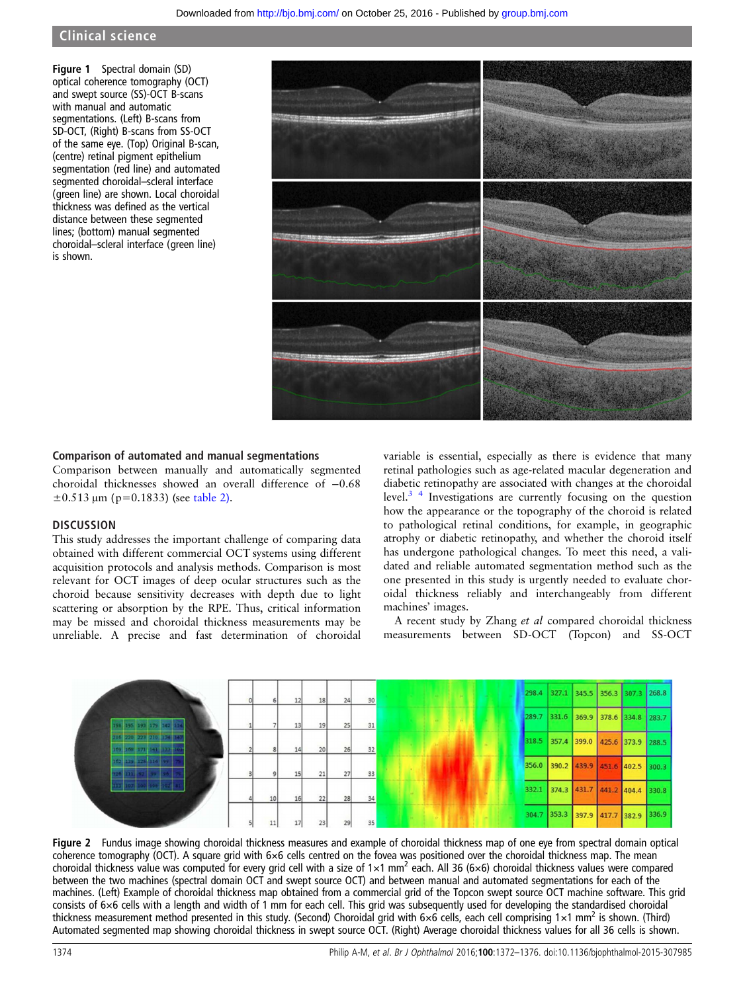# <span id="page-2-0"></span>Clinical science

Figure 1 Spectral domain (SD) optical coherence tomography (OCT) and swept source (SS)-OCT B-scans with manual and automatic segmentations. (Left) B-scans from SD-OCT, (Right) B-scans from SS-OCT of the same eye. (Top) Original B-scan, (centre) retinal pigment epithelium segmentation (red line) and automated segmented choroidal–scleral interface (green line) are shown. Local choroidal thickness was defined as the vertical distance between these segmented lines; (bottom) manual segmented choroidal–scleral interface (green line) is shown.



#### Comparison of automated and manual segmentations

Comparison between manually and automatically segmented choroidal thicknesses showed an overall difference of −0.68  $\pm 0.513 \,\mathrm{\upmu m}$  (p=0.1833) (see [table 2\).](#page-3-0)

#### **DISCUSSION**

This study addresses the important challenge of comparing data obtained with different commercial OCT systems using different acquisition protocols and analysis methods. Comparison is most relevant for OCT images of deep ocular structures such as the choroid because sensitivity decreases with depth due to light scattering or absorption by the RPE. Thus, critical information may be missed and choroidal thickness measurements may be unreliable. A precise and fast determination of choroidal

variable is essential, especially as there is evidence that many retinal pathologies such as age-related macular degeneration and diabetic retinopathy are associated with changes at the choroidal level[.3 4](#page-4-0) Investigations are currently focusing on the question how the appearance or the topography of the choroid is related to pathological retinal conditions, for example, in geographic atrophy or diabetic retinopathy, and whether the choroid itself has undergone pathological changes. To meet this need, a validated and reliable automated segmentation method such as the one presented in this study is urgently needed to evaluate choroidal thickness reliably and interchangeably from different machines' images.

A recent study by Zhang et al compared choroidal thickness measurements between SD-OCT (Topcon) and SS-OCT



Figure 2 Fundus image showing choroidal thickness measures and example of choroidal thickness map of one eye from spectral domain optical coherence tomography (OCT). A square grid with 6×6 cells centred on the fovea was positioned over the choroidal thickness map. The mean choroidal thickness value was computed for every grid cell with a size of  $1\times1$  mm<sup>2</sup> each. All 36 (6×6) choroidal thickness values were compared between the two machines (spectral domain OCT and swept source OCT) and between manual and automated segmentations for each of the machines. (Left) Example of choroidal thickness map obtained from a commercial grid of the Topcon swept source OCT machine software. This grid consists of 6×6 cells with a length and width of 1 mm for each cell. This grid was subsequently used for developing the standardised choroidal thickness measurement method presented in this study. (Second) Choroidal grid with  $6\times6$  cells, each cell comprising  $1\times1$  mm<sup>2</sup> is shown. (Third) Automated segmented map showing choroidal thickness in swept source OCT. (Right) Average choroidal thickness values for all 36 cells is shown.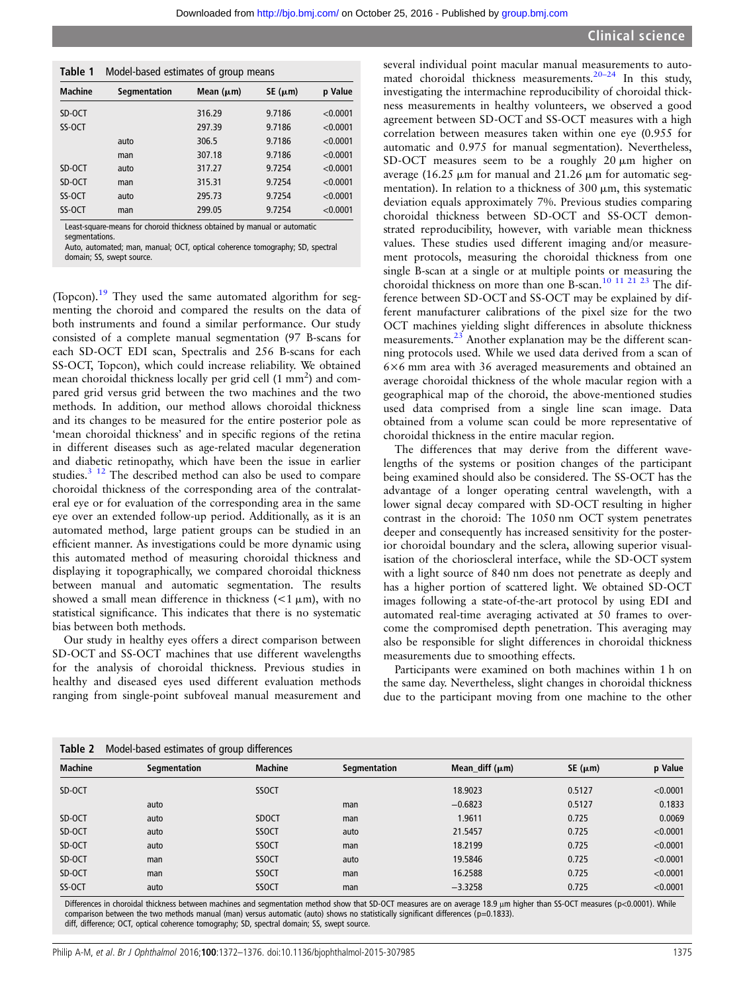<span id="page-3-0"></span>

| Table 1        | Model-based estimates of group means |                |                 |          |  |
|----------------|--------------------------------------|----------------|-----------------|----------|--|
| <b>Machine</b> | Segmentation                         | Mean $(\mu m)$ | $SE$ ( $\mu$ m) | p Value  |  |
| SD-OCT         |                                      | 316.29         | 9.7186          | < 0.0001 |  |
| SS-OCT         |                                      | 297.39         | 9.7186          | < 0.0001 |  |
|                | auto                                 | 306.5          | 9.7186          | < 0.0001 |  |
|                | man                                  | 307.18         | 9.7186          | < 0.0001 |  |
| SD-OCT         | auto                                 | 317.27         | 9.7254          | < 0.0001 |  |
| SD-OCT         | man                                  | 315.31         | 9.7254          | < 0.0001 |  |
| SS-OCT         | auto                                 | 295.73         | 9.7254          | < 0.0001 |  |
| SS-OCT         | man                                  | 299.05         | 9.7254          | < 0.0001 |  |

Least-square-means for choroid thickness obtained by manual or automatic segmentations.

Auto, automated; man, manual; OCT, optical coherence tomography; SD, spectral domain; SS, swept source.

(Topcon).[19](#page-4-0) They used the same automated algorithm for segmenting the choroid and compared the results on the data of both instruments and found a similar performance. Our study consisted of a complete manual segmentation (97 B-scans for each SD-OCT EDI scan, Spectralis and 256 B-scans for each SS-OCT, Topcon), which could increase reliability. We obtained mean choroidal thickness locally per grid cell (1 mm<sup>2</sup>) and compared grid versus grid between the two machines and the two methods. In addition, our method allows choroidal thickness and its changes to be measured for the entire posterior pole as 'mean choroidal thickness' and in specific regions of the retina in different diseases such as age-related macular degeneration and diabetic retinopathy, which have been the issue in earlier studies.<sup>3</sup> <sup>12</sup> The described method can also be used to compare choroidal thickness of the corresponding area of the contralateral eye or for evaluation of the corresponding area in the same eye over an extended follow-up period. Additionally, as it is an automated method, large patient groups can be studied in an efficient manner. As investigations could be more dynamic using this automated method of measuring choroidal thickness and displaying it topographically, we compared choroidal thickness between manual and automatic segmentation. The results showed a small mean difference in thickness  $\left($ <1  $\mu$ m), with no statistical significance. This indicates that there is no systematic bias between both methods.

Our study in healthy eyes offers a direct comparison between SD-OCT and SS-OCT machines that use different wavelengths for the analysis of choroidal thickness. Previous studies in healthy and diseased eyes used different evaluation methods ranging from single-point subfoveal manual measurement and

several individual point macular manual measurements to automated choroidal thickness measurements.<sup>20–24</sup> In this study, investigating the intermachine reproducibility of choroidal thickness measurements in healthy volunteers, we observed a good agreement between SD-OCT and SS-OCT measures with a high correlation between measures taken within one eye (0.955 for automatic and 0.975 for manual segmentation). Nevertheless, SD-OCT measures seem to be a roughly  $20 \mu m$  higher on average (16.25  $\mu$ m for manual and 21.26  $\mu$ m for automatic segmentation). In relation to a thickness of 300  $\mu$ m, this systematic deviation equals approximately 7%. Previous studies comparing choroidal thickness between SD-OCT and SS-OCT demonstrated reproducibility, however, with variable mean thickness values. These studies used different imaging and/or measurement protocols, measuring the choroidal thickness from one single B-scan at a single or at multiple points or measuring the choroidal thickness on more than one B-scan.<sup>[10 11 21 23](#page-4-0)</sup> The difference between SD-OCT and SS-OCT may be explained by different manufacturer calibrations of the pixel size for the two OCT machines yielding slight differences in absolute thickness measurements.<sup>[23](#page-4-0)</sup> Another explanation may be the different scanning protocols used. While we used data derived from a scan of 6×6 mm area with 36 averaged measurements and obtained an average choroidal thickness of the whole macular region with a geographical map of the choroid, the above-mentioned studies used data comprised from a single line scan image. Data obtained from a volume scan could be more representative of choroidal thickness in the entire macular region.

The differences that may derive from the different wavelengths of the systems or position changes of the participant being examined should also be considered. The SS-OCT has the advantage of a longer operating central wavelength, with a lower signal decay compared with SD-OCT resulting in higher contrast in the choroid: The 1050 nm OCT system penetrates deeper and consequently has increased sensitivity for the posterior choroidal boundary and the sclera, allowing superior visualisation of the chorioscleral interface, while the SD-OCT system with a light source of 840 nm does not penetrate as deeply and has a higher portion of scattered light. We obtained SD-OCT images following a state-of-the-art protocol by using EDI and automated real-time averaging activated at 50 frames to overcome the compromised depth penetration. This averaging may also be responsible for slight differences in choroidal thickness measurements due to smoothing effects.

Participants were examined on both machines within 1 h on the same day. Nevertheless, slight changes in choroidal thickness due to the participant moving from one machine to the other

| Table 2        | Model-based estimates of group differences |                |              |                     |                 |          |  |
|----------------|--------------------------------------------|----------------|--------------|---------------------|-----------------|----------|--|
| <b>Machine</b> | Segmentation                               | <b>Machine</b> | Segmentation | Mean_diff $(\mu m)$ | $SE$ ( $\mu$ m) | p Value  |  |
| SD-OCT         |                                            | <b>SSOCT</b>   |              | 18.9023             | 0.5127          | < 0.0001 |  |
|                | auto                                       |                | man          | $-0.6823$           | 0.5127          | 0.1833   |  |
| SD-OCT         | auto                                       | <b>SDOCT</b>   | man          | 1.9611              | 0.725           | 0.0069   |  |
| SD-OCT         | auto                                       | <b>SSOCT</b>   | auto         | 21.5457             | 0.725           | < 0.0001 |  |
| SD-OCT         | auto                                       | <b>SSOCT</b>   | man          | 18.2199             | 0.725           | < 0.0001 |  |
| SD-OCT         | man                                        | <b>SSOCT</b>   | auto         | 19.5846             | 0.725           | < 0.0001 |  |
| SD-OCT         | man                                        | <b>SSOCT</b>   | man          | 16.2588             | 0.725           | < 0.0001 |  |
| SS-OCT         | auto                                       | <b>SSOCT</b>   | man          | $-3.3258$           | 0.725           | < 0.0001 |  |

Differences in choroidal thickness between machines and segmentation method show that SD-OCT measures are on average 18.9 μm higher than SS-OCT measures (p<0.0001). While comparison between the two methods manual (man) versus automatic (auto) shows no statistically significant differences (p=0.1833). diff, difference; OCT, optical coherence tomography; SD, spectral domain; SS, swept source.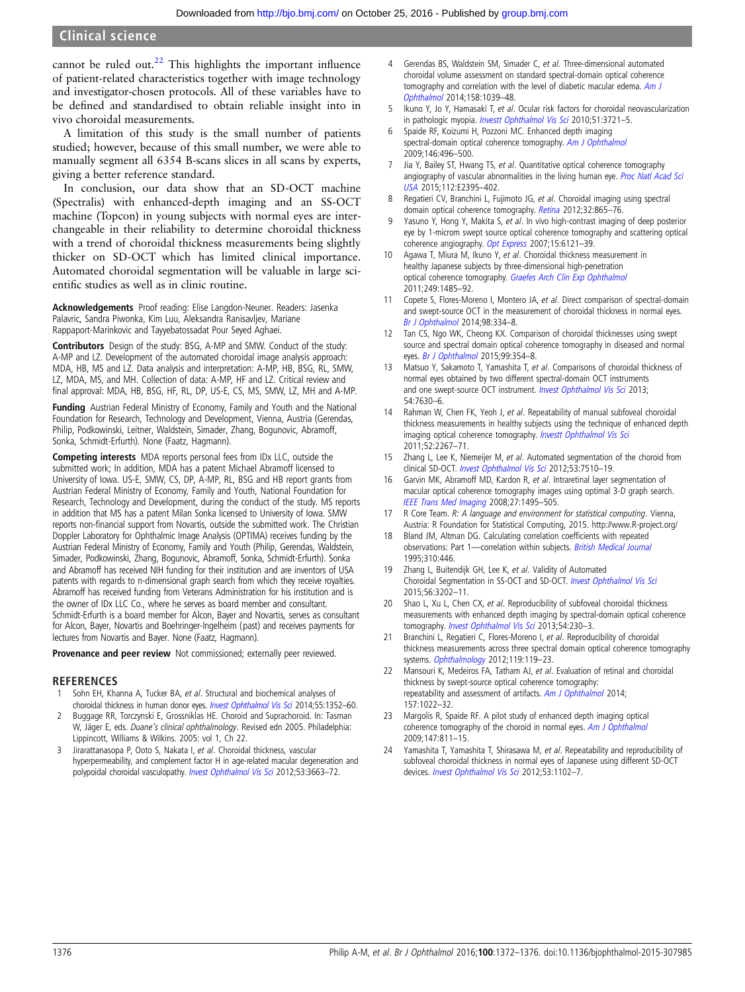<span id="page-4-0"></span>cannot be ruled out. $22$  This highlights the important influence of patient-related characteristics together with image technology and investigator-chosen protocols. All of these variables have to be defined and standardised to obtain reliable insight into in vivo choroidal measurements.

A limitation of this study is the small number of patients studied; however, because of this small number, we were able to manually segment all 6354 B-scans slices in all scans by experts, giving a better reference standard.

In conclusion, our data show that an SD-OCT machine (Spectralis) with enhanced-depth imaging and an SS-OCT machine (Topcon) in young subjects with normal eyes are interchangeable in their reliability to determine choroidal thickness with a trend of choroidal thickness measurements being slightly thicker on SD-OCT which has limited clinical importance. Automated choroidal segmentation will be valuable in large scientific studies as well as in clinic routine.

Acknowledgements Proof reading: Elise Langdon-Neuner. Readers: Jasenka Palavric, Sandra Piwonka, Kim Luu, Aleksandra Ranisavljev, Mariane Rappaport-Marinkovic and Tayyebatossadat Pour Seyed Aghaei.

Contributors Design of the study: BSG, A-MP and SMW. Conduct of the study: A-MP and LZ. Development of the automated choroidal image analysis approach: MDA, HB, MS and LZ. Data analysis and interpretation: A-MP, HB, BSG, RL, SMW, LZ, MDA, MS, and MH. Collection of data: A-MP, HF and LZ. Critical review and final approval: MDA, HB, BSG, HF, RL, DP, US-E, CS, MS, SMW, LZ, MH and A-MP.

Funding Austrian Federal Ministry of Economy, Family and Youth and the National Foundation for Research, Technology and Development, Vienna, Austria (Gerendas, Philip, Podkowinski, Leitner, Waldstein, Simader, Zhang, Bogunovic, Abramoff, Sonka, Schmidt-Erfurth). None (Faatz, Hagmann).

Competing interests MDA reports personal fees from IDx LLC, outside the submitted work; In addition, MDA has a patent Michael Abramoff licensed to University of Iowa. US-E, SMW, CS, DP, A-MP, RL, BSG and HB report grants from Austrian Federal Ministry of Economy, Family and Youth, National Foundation for Research, Technology and Development, during the conduct of the study. MS reports in addition that MS has a patent Milan Sonka licensed to University of Iowa. SMW reports non-financial support from Novartis, outside the submitted work. The Christian Doppler Laboratory for Ophthalmic Image Analysis (OPTIMA) receives funding by the Austrian Federal Ministry of Economy, Family and Youth (Philip, Gerendas, Waldstein, Simader, Podkowinski, Zhang, Bogunovic, Abramoff, Sonka, Schmidt-Erfurth). Sonka and Abramoff has received NIH funding for their institution and are inventors of USA patents with regards to n-dimensional graph search from which they receive royalties. Abramoff has received funding from Veterans Administration for his institution and is the owner of IDx LLC Co., where he serves as board member and consultant. Schmidt-Erfurth is a board member for Alcon, Bayer and Novartis, serves as consultant for Alcon, Bayer, Novartis and Boehringer-Ingelheim (past) and receives payments for lectures from Novartis and Bayer. None (Faatz, Hagmann).

Provenance and peer review Not commissioned; externally peer reviewed.

#### **REFERENCES**

- Sohn EH, Khanna A, Tucker BA, et al. Structural and biochemical analyses of choroidal thickness in human donor eyes. *[Invest Ophthalmol Vis Sci](http://dx.doi.org/10.1167/iovs.13-13754)* 2014;55:1352–60.
- 2 Buggage RR, Torczynski E, Grossniklas HE. Choroid and Suprachoroid. In: Tasman W, Jäger E, eds. Duane's clinical ophthalmology. Revised edn 2005. Philadelphia: Lippincott, Williams & Wilkins. 2005: vol 1, Ch 22.
- 3 Jirarattanasopa P, Ooto S, Nakata I, et al. Choroidal thickness, vascular hyperpermeability, and complement factor H in age-related macular degeneration and polypoidal choroidal vasculopathy. [Invest Ophthalmol Vis Sci](http://dx.doi.org/10.1167/iovs.12-9619) 2012;53:3663-72.
- Gerendas BS, Waldstein SM, Simader C, et al. Three-dimensional automated choroidal volume assessment on standard spectral-domain optical coherence tomography and correlation with the level of diabetic macular edema. [Am J](http://dx.doi.org/10.1016/j.ajo.2014.08.001) [Ophthalmol](http://dx.doi.org/10.1016/j.ajo.2014.08.001) 2014;158:1039–48.
- 5 Ikuno Y, Jo Y, Hamasaki T, et al. Ocular risk factors for choroidal neovascularization in pathologic myopia. [Investt Ophthalmol Vis Sci](http://dx.doi.org/10.1167/iovs.09-3493) 2010;51:3721-5.
- 6 Spaide RF, Koizumi H, Pozzoni MC. Enhanced depth imaging spectral-domain optical coherence tomography. [Am J Ophthalmol](http://dx.doi.org/10.1016/j.ajo.2008.05.032) 2009;146:496–500.
- Jia Y, Bailey ST, Hwang TS, et al. Quantitative optical coherence tomography angiography of vascular abnormalities in the living human eye. [Proc Natl Acad Sci](http://dx.doi.org/10.1073/pnas.1500185112) [USA](http://dx.doi.org/10.1073/pnas.1500185112) 2015;112:E2395–402.
- 8 Regatieri CV, Branchini L, Fujimoto JG, et al. Choroidal imaging using spectral domain optical coherence tomography. [Retina](http://dx.doi.org/10.1097/IAE.0b013e318251a3a8) 2012;32:865-76.
- Yasuno Y, Hong Y, Makita S, et al. In vivo high-contrast imaging of deep posterior eye by 1-microm swept source optical coherence tomography and scattering optical coherence angiography. [Opt Express](http://dx.doi.org/10.1364/OE.15.006121) 2007;15:6121-39.
- 10 Agawa T, Miura M, Ikuno Y, et al. Choroidal thickness measurement in healthy Japanese subjects by three-dimensional high-penetration optical coherence tomography. [Graefes Arch Clin Exp Ophthalmol](http://dx.doi.org/10.1007/s00417-011-1708-7) 2011;249:1485–92.
- 11 Copete S, Flores-Moreno I, Montero JA, et al. Direct comparison of spectral-domain and swept-source OCT in the measurement of choroidal thickness in normal eyes. [Br J Ophthalmol](http://dx.doi.org/10.1136/bjophthalmol-2013-303904) 2014;98:334–8.
- 12 Tan CS, Ngo WK, Cheong KX. Comparison of choroidal thicknesses using swept source and spectral domain optical coherence tomography in diseased and normal eyes. [Br J Ophthalmol](http://dx.doi.org/10.1136/bjophthalmol-2014-305331) 2015;99:354-8.
- 13 Matsuo Y, Sakamoto T, Yamashita T, et al. Comparisons of choroidal thickness of normal eyes obtained by two different spectral-domain OCT instruments and one swept-source OCT instrument. [Invest Ophthalmol Vis Sci](http://dx.doi.org/10.1167/iovs.13-13135) 2013; 54:7630–6.
- 14 Rahman W, Chen FK, Yeoh J, et al. Repeatability of manual subfoveal choroidal thickness measurements in healthy subjects using the technique of enhanced depth imaging optical coherence tomography. [Investt Ophthalmol Vis Sci](http://dx.doi.org/10.1167/iovs.10-6024) 2011;52:2267–71.
- 15 Zhang L, Lee K, Niemeijer M, et al. Automated segmentation of the choroid from clinical SD-OCT. [Invest Ophthalmol Vis Sci](http://dx.doi.org/10.1167/iovs.12-10311) 2012;53:7510-19.
- 16 Garvin MK, Abramoff MD, Kardon R, et al. Intraretinal layer segmentation of macular optical coherence tomography images using optimal 3-D graph search. [IEEE Trans Med Imaging](http://dx.doi.org/10.1109/TMI.2008.923966) 2008;27:1495–505.
- 17 R Core Team. R: A language and environment for statistical computing. Vienna, Austria: R Foundation for Statistical Computing, 2015.<http://www.R-project.org/>
- 18 Bland JM, Altman DG. Calculating correlation coefficients with repeated observations: Part 1- correlation within subjects. [British Medical Journal](http://dx.doi.org/10.1136/bmj.310.6977.446) 1995;310:446.
- 19 Zhang L, Buitendijk GH, Lee K, et al. Validity of Automated Choroidal Segmentation in SS-OCT and SD-OCT. [Invest Ophthalmol Vis Sci](http://dx.doi.org/10.1167/iovs.14-15669) 2015;56:3202–11.
- 20 Shao L, Xu L, Chen CX, et al. Reproducibility of subfoveal choroidal thickness measurements with enhanced depth imaging by spectral-domain optical coherence tomography. [Invest Ophthalmol Vis Sci](http://dx.doi.org/10.1167/iovs.12-10351) 2013;54:230-3.
- 21 Branchini L, Regatieri C, Flores-Moreno I, et al. Reproducibility of choroidal thickness measurements across three spectral domain optical coherence tomography systems. [Ophthalmology](http://dx.doi.org/10.1016/j.ophtha.2011.07.002) 2012;119:119-23.
- Mansouri K, Medeiros FA, Tatham AJ, et al. Evaluation of retinal and choroidal thickness by swept-source optical coherence tomography: repeatability and assessment of artifacts. [Am J Ophthalmol](http://dx.doi.org/10.1016/j.ajo.2014.02.008) 2014; 157:1022–32.
- 23 Margolis R, Spaide RF. A pilot study of enhanced depth imaging optical coherence tomography of the choroid in normal eyes. [Am J Ophthalmol](http://dx.doi.org/10.1016/j.ajo.2008.12.008) 2009;147:811–15.
- 24 Yamashita T, Yamashita T, Shirasawa M, et al. Repeatability and reproducibility of subfoveal choroidal thickness in normal eyes of Japanese using different SD-OCT devices. [Invest Ophthalmol Vis Sci](http://dx.doi.org/10.1167/iovs.11-8836) 2012;53:1102-7.